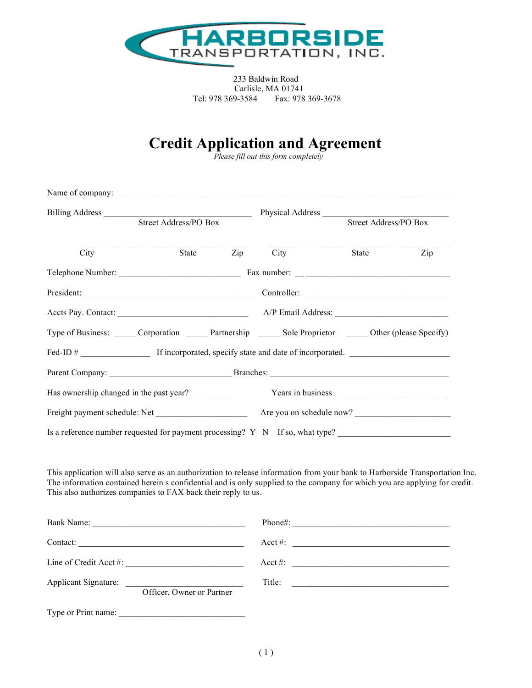

 233 Baldwin Road Carlisle, MA 01741 Tel: 978 369-3584 Fax: 978 369-3678

## **Credit Application and Agreement** *Please fill out this form completely*

|                                                                                                                                                                                                                                                                                                                             |                       | Name of company:                  |                                                                                                                                                                                                                                                                                                                       |                       |     |
|-----------------------------------------------------------------------------------------------------------------------------------------------------------------------------------------------------------------------------------------------------------------------------------------------------------------------------|-----------------------|-----------------------------------|-----------------------------------------------------------------------------------------------------------------------------------------------------------------------------------------------------------------------------------------------------------------------------------------------------------------------|-----------------------|-----|
| Billing Address                                                                                                                                                                                                                                                                                                             | Street Address/PO Box |                                   | Physical Address                                                                                                                                                                                                                                                                                                      | Street Address/PO Box |     |
|                                                                                                                                                                                                                                                                                                                             |                       |                                   |                                                                                                                                                                                                                                                                                                                       |                       |     |
| $\overline{City}$                                                                                                                                                                                                                                                                                                           | State                 | $\mathop{\mathrm {Zip}}\nolimits$ | City                                                                                                                                                                                                                                                                                                                  | State                 | Zip |
|                                                                                                                                                                                                                                                                                                                             |                       |                                   |                                                                                                                                                                                                                                                                                                                       |                       |     |
|                                                                                                                                                                                                                                                                                                                             |                       |                                   |                                                                                                                                                                                                                                                                                                                       |                       |     |
|                                                                                                                                                                                                                                                                                                                             |                       |                                   |                                                                                                                                                                                                                                                                                                                       |                       |     |
| Type of Business: ______ Corporation ______ Partnership ______ Sole Proprietor ______ Other (please Specify)                                                                                                                                                                                                                |                       |                                   |                                                                                                                                                                                                                                                                                                                       |                       |     |
| Fed-ID # If incorporated, specify state and date of incorporated.                                                                                                                                                                                                                                                           |                       |                                   |                                                                                                                                                                                                                                                                                                                       |                       |     |
|                                                                                                                                                                                                                                                                                                                             |                       |                                   |                                                                                                                                                                                                                                                                                                                       |                       |     |
| Has ownership changed in the past year?                                                                                                                                                                                                                                                                                     |                       |                                   |                                                                                                                                                                                                                                                                                                                       |                       |     |
| Freight payment schedule: Net Are you on schedule now?                                                                                                                                                                                                                                                                      |                       |                                   |                                                                                                                                                                                                                                                                                                                       |                       |     |
| Is a reference number requested for payment processing? Y N If so, what type?                                                                                                                                                                                                                                               |                       |                                   |                                                                                                                                                                                                                                                                                                                       |                       |     |
|                                                                                                                                                                                                                                                                                                                             |                       |                                   |                                                                                                                                                                                                                                                                                                                       |                       |     |
|                                                                                                                                                                                                                                                                                                                             |                       |                                   |                                                                                                                                                                                                                                                                                                                       |                       |     |
|                                                                                                                                                                                                                                                                                                                             |                       |                                   |                                                                                                                                                                                                                                                                                                                       |                       |     |
|                                                                                                                                                                                                                                                                                                                             |                       |                                   |                                                                                                                                                                                                                                                                                                                       |                       |     |
| This application will also serve as an authorization to release information from your bank to Harborside Transportation Inc.<br>The information contained herein s confidential and is only supplied to the company for which you are applying for credit.<br>This also authorizes companies to FAX back their reply to us. |                       |                                   | Acct #: $\frac{1}{2}$ $\frac{1}{2}$ $\frac{1}{2}$ $\frac{1}{2}$ $\frac{1}{2}$ $\frac{1}{2}$ $\frac{1}{2}$ $\frac{1}{2}$ $\frac{1}{2}$ $\frac{1}{2}$ $\frac{1}{2}$ $\frac{1}{2}$ $\frac{1}{2}$ $\frac{1}{2}$ $\frac{1}{2}$ $\frac{1}{2}$ $\frac{1}{2}$ $\frac{1}{2}$ $\frac{1}{2}$ $\frac{1}{2}$ $\frac{1}{2}$ $\frac$ |                       |     |

Type or Print name: \_\_\_\_\_\_\_\_\_\_\_\_\_\_\_\_\_\_\_\_\_\_\_\_\_\_\_\_\_